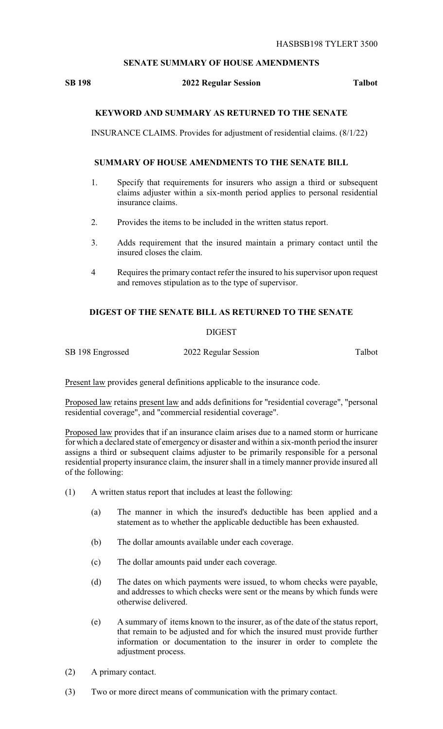### **SENATE SUMMARY OF HOUSE AMENDMENTS**

## **SB 198 2022 Regular Session Talbot**

## **KEYWORD AND SUMMARY AS RETURNED TO THE SENATE**

INSURANCE CLAIMS. Provides for adjustment of residential claims. (8/1/22)

#### **SUMMARY OF HOUSE AMENDMENTS TO THE SENATE BILL**

- 1. Specify that requirements for insurers who assign a third or subsequent claims adjuster within a six-month period applies to personal residential insurance claims.
- 2. Provides the items to be included in the written status report.
- 3. Adds requirement that the insured maintain a primary contact until the insured closes the claim.
- 4 Requires the primary contact refer the insured to his supervisor upon request and removes stipulation as to the type of supervisor.

# **DIGEST OF THE SENATE BILL AS RETURNED TO THE SENATE**

### DIGEST

SB 198 Engrossed 2022 Regular Session Talbot

Present law provides general definitions applicable to the insurance code.

Proposed law retains present law and adds definitions for "residential coverage", "personal residential coverage", and "commercial residential coverage".

Proposed law provides that if an insurance claim arises due to a named storm or hurricane for which a declared state of emergency or disaster and within a six-month period the insurer assigns a third or subsequent claims adjuster to be primarily responsible for a personal residential property insurance claim, the insurer shall in a timely manner provide insured all of the following:

- (1) A written status report that includes at least the following:
	- (a) The manner in which the insured's deductible has been applied and a statement as to whether the applicable deductible has been exhausted.
	- (b) The dollar amounts available under each coverage.
	- (c) The dollar amounts paid under each coverage.
	- (d) The dates on which payments were issued, to whom checks were payable, and addresses to which checks were sent or the means by which funds were otherwise delivered.
	- (e) A summary of items known to the insurer, as of the date of the status report, that remain to be adjusted and for which the insured must provide further information or documentation to the insurer in order to complete the adjustment process.
- (2) A primary contact.
- (3) Two or more direct means of communication with the primary contact.